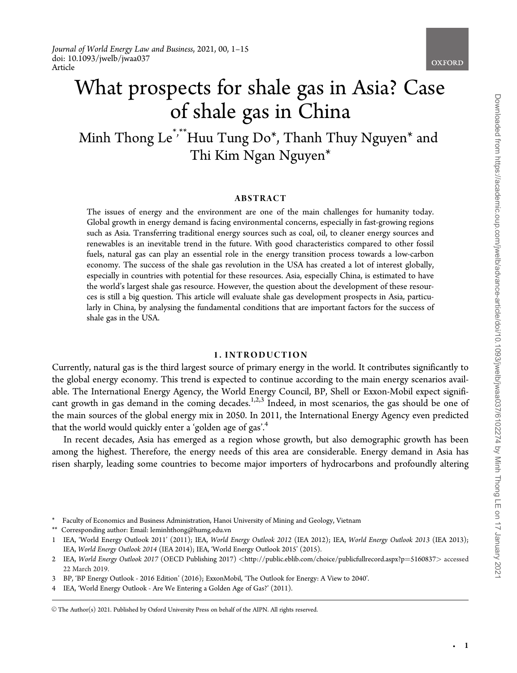

# What prospects for shale gas in Asia? Case of shale gas in China

Minh Thong Le<sup>\*,\*\*</sup>Huu Tung Do<sup>\*</sup>, Thanh Thuy Nguyen<sup>\*</sup> and Thi Kim Ngan Nguyen\*

## ABSTRACT

The issues of energy and the environment are one of the main challenges for humanity today. Global growth in energy demand is facing environmental concerns, especially in fast-growing regions such as Asia. Transferring traditional energy sources such as coal, oil, to cleaner energy sources and renewables is an inevitable trend in the future. With good characteristics compared to other fossil fuels, natural gas can play an essential role in the energy transition process towards a low-carbon economy. The success of the shale gas revolution in the USA has created a lot of interest globally, especially in countries with potential for these resources. Asia, especially China, is estimated to have the world's largest shale gas resource. However, the question about the development of these resources is still a big question. This article will evaluate shale gas development prospects in Asia, particularly in China, by analysing the fundamental conditions that are important factors for the success of shale gas in the USA.

#### 1. INTRODUCTION

Currently, natural gas is the third largest source of primary energy in the world. It contributes significantly to the global energy economy. This trend is expected to continue according to the main energy scenarios available. The International Energy Agency, the World Energy Council, BP, Shell or Exxon-Mobil expect significant growth in gas demand in the coming decades.<sup>1,2,3</sup> Indeed, in most scenarios, the gas should be one of the main sources of the global energy mix in 2050. In 2011, the International Energy Agency even predicted that the world would quickly enter a 'golden age of gas'.<sup>4</sup>

In recent decades, Asia has emerged as a region whose growth, but also demographic growth has been among the highest. Therefore, the energy needs of this area are considerable. Energy demand in Asia has risen sharply, leading some countries to become major importers of hydrocarbons and profoundly altering

\*\* Corresponding author: Email: leminhthong@humg.edu.vn

-

<sup>\*</sup> Faculty of Economics and Business Administration, Hanoi University of Mining and Geology, Vietnam

<sup>1</sup> IEA, 'World Energy Outlook 2011' (2011); IEA, World Energy Outlook 2012 (IEA 2012); IEA, World Energy Outlook 2013 (IEA 2013); IEA, World Energy Outlook 2014 (IEA 2014); IEA, 'World Energy Outlook 2015' (2015).

<sup>2</sup> IEA, World Energy Outlook 2017 (OECD Publishing 2017) <[http://public.eblib.com/choice/publicfullrecord.aspx?p](http://public.eblib.com/choice/publicfullrecord.aspx?p=5160837)=[5160837](http://public.eblib.com/choice/publicfullrecord.aspx?p=5160837)> accessed 22 March 2019.

<sup>3</sup> BP, 'BP Energy Outlook - 2016 Edition' (2016); ExxonMobil, 'The Outlook for Energy: A View to 2040'.

<sup>4</sup> IEA, 'World Energy Outlook - Are We Entering a Golden Age of Gas?' (2011).

V<sup>C</sup> The Author(s) 2021. Published by Oxford University Press on behalf of the AIPN. All rights reserved.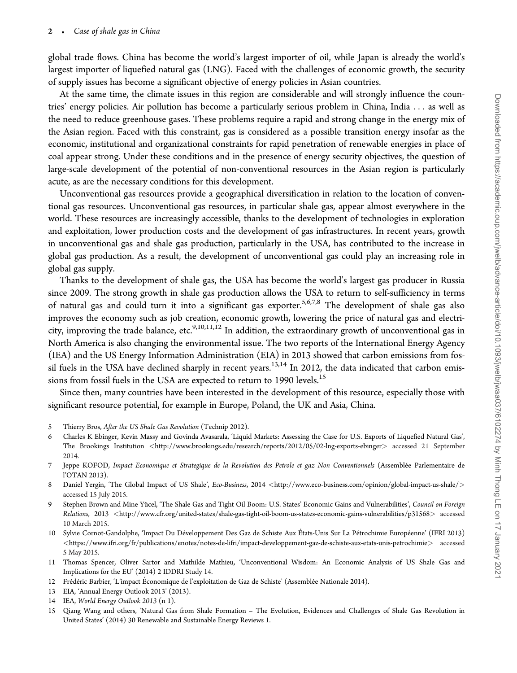global trade flows. China has become the world's largest importer of oil, while Japan is already the world's largest importer of liquefied natural gas (LNG). Faced with the challenges of economic growth, the security of supply issues has become a significant objective of energy policies in Asian countries.

At the same time, the climate issues in this region are considerable and will strongly influence the countries' energy policies. Air pollution has become a particularly serious problem in China, India ... as well as the need to reduce greenhouse gases. These problems require a rapid and strong change in the energy mix of the Asian region. Faced with this constraint, gas is considered as a possible transition energy insofar as the economic, institutional and organizational constraints for rapid penetration of renewable energies in place of coal appear strong. Under these conditions and in the presence of energy security objectives, the question of large-scale development of the potential of non-conventional resources in the Asian region is particularly acute, as are the necessary conditions for this development.

Unconventional gas resources provide a geographical diversification in relation to the location of conventional gas resources. Unconventional gas resources, in particular shale gas, appear almost everywhere in the world. These resources are increasingly accessible, thanks to the development of technologies in exploration and exploitation, lower production costs and the development of gas infrastructures. In recent years, growth in unconventional gas and shale gas production, particularly in the USA, has contributed to the increase in global gas production. As a result, the development of unconventional gas could play an increasing role in global gas supply.

Thanks to the development of shale gas, the USA has become the world's largest gas producer in Russia since 2009. The strong growth in shale gas production allows the USA to return to self-sufficiency in terms of natural gas and could turn it into a significant gas exporter.5,6,7,8 The development of shale gas also improves the economy such as job creation, economic growth, lowering the price of natural gas and electricity, improving the trade balance, etc.<sup>9,10,11,12</sup> In addition, the extraordinary growth of unconventional gas in North America is also changing the environmental issue. The two reports of the International Energy Agency (IEA) and the US Energy Information Administration (EIA) in 2013 showed that carbon emissions from fossil fuels in the USA have declined sharply in recent years.<sup>13,14</sup> In 2012, the data indicated that carbon emissions from fossil fuels in the USA are expected to return to 1990 levels.<sup>15</sup>

Since then, many countries have been interested in the development of this resource, especially those with significant resource potential, for example in Europe, Poland, the UK and Asia, China.

- 5 Thierry Bros, After the US Shale Gas Revolution (Technip 2012).
- 6 Charles K Ebinger, Kevin Massy and Govinda Avasarala, 'Liquid Markets: Assessing the Case for U.S. Exports of Liquefied Natural Gas', The Brookings Institution <<http://www.brookings.edu/research/reports/2012/05/02-lng-exports-ebinger>> accessed 21 September 2014.
- 7 Jeppe KOFOD, Impact Economique et Strategique de la Revolution des Petrole et gaz Non Conventionnels (Assemble´e Parlementaire de l'OTAN 2013).
- 8 Daniel Yergin, 'The Global Impact of US Shale', Eco-Business, 2014 <<http://www.eco-business.com/opinion/global-impact-us-shale/>> accessed 15 July 2015.
- 9 Stephen Brown and Mine Yücel, 'The Shale Gas and Tight Oil Boom: U.S. States' Economic Gains and Vulnerabilities', Council on Foreign Relations, 2013 <<http://www.cfr.org/united-states/shale-gas-tight-oil-boom-us-states-economic-gains-vulnerabilities/p31568>> accessed 10 March 2015.
- 10 Sylvie Cornot-Gandolphe, 'Impact Du Développement Des Gaz de Schiste Aux États-Unis Sur La Pétrochimie Européenne' (IFRI 2013)  $<$ <https://www.ifri.org/fr/publications/enotes/notes-de-lifri/impact-developpement-gaz-de-schiste-aux-etats-unis-petrochimie>> accessed 5 May 2015.
- 11 Thomas Spencer, Oliver Sartor and Mathilde Mathieu, 'Unconventional Wisdom: An Economic Analysis of US Shale Gas and Implications for the EU' (2014) 2 IDDRI Study 14.
- 12 Frédéric Barbier, 'L'impact Économique de l'exploitation de Gaz de Schiste' (Assemblée Nationale 2014).
- 13 EIA, 'Annual Energy Outlook 2013' (2013).
- 14 IEA, World Energy Outlook 2013 (n 1).
- 15 Qiang Wang and others, 'Natural Gas from Shale Formation The Evolution, Evidences and Challenges of Shale Gas Revolution in United States' (2014) 30 Renewable and Sustainable Energy Reviews 1.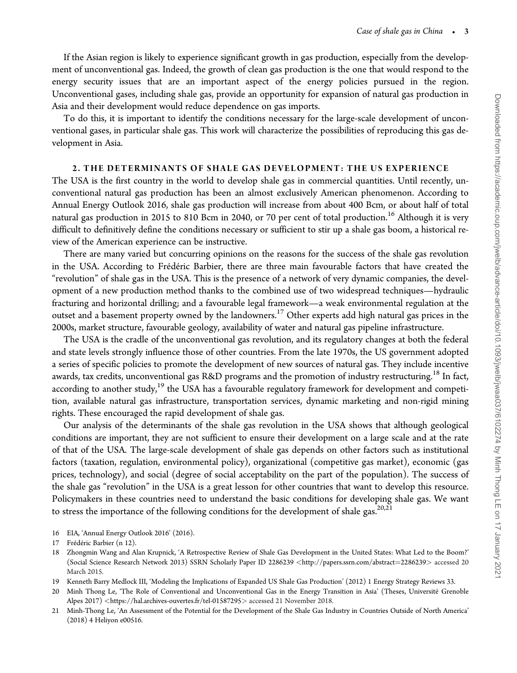If the Asian region is likely to experience significant growth in gas production, especially from the development of unconventional gas. Indeed, the growth of clean gas production is the one that would respond to the energy security issues that are an important aspect of the energy policies pursued in the region. Unconventional gases, including shale gas, provide an opportunity for expansion of natural gas production in Asia and their development would reduce dependence on gas imports.

To do this, it is important to identify the conditions necessary for the large-scale development of unconventional gases, in particular shale gas. This work will characterize the possibilities of reproducing this gas development in Asia.

## 2. THE DETERMINANTS OF SHALE GAS DEVELOPMENT: THE US EXPERIENCE

The USA is the first country in the world to develop shale gas in commercial quantities. Until recently, unconventional natural gas production has been an almost exclusively American phenomenon. According to Annual Energy Outlook 2016, shale gas production will increase from about 400 Bcm, or about half of total natural gas production in 2015 to 810 Bcm in 2040, or 70 per cent of total production.<sup>16</sup> Although it is very difficult to definitively define the conditions necessary or sufficient to stir up a shale gas boom, a historical review of the American experience can be instructive.

There are many varied but concurring opinions on the reasons for the success of the shale gas revolution in the USA. According to Frédéric Barbier, there are three main favourable factors that have created the "revolution" of shale gas in the USA. This is the presence of a network of very dynamic companies, the development of a new production method thanks to the combined use of two widespread techniques—hydraulic fracturing and horizontal drilling; and a favourable legal framework—a weak environmental regulation at the outset and a basement property owned by the landowners.<sup>17</sup> Other experts add high natural gas prices in the 2000s, market structure, favourable geology, availability of water and natural gas pipeline infrastructure.

The USA is the cradle of the unconventional gas revolution, and its regulatory changes at both the federal and state levels strongly influence those of other countries. From the late 1970s, the US government adopted a series of specific policies to promote the development of new sources of natural gas. They include incentive awards, tax credits, unconventional gas R&D programs and the promotion of industry restructuring.<sup>18</sup> In fact, according to another study,<sup>19</sup> the USA has a favourable regulatory framework for development and competition, available natural gas infrastructure, transportation services, dynamic marketing and non-rigid mining rights. These encouraged the rapid development of shale gas.

Our analysis of the determinants of the shale gas revolution in the USA shows that although geological conditions are important, they are not sufficient to ensure their development on a large scale and at the rate of that of the USA. The large-scale development of shale gas depends on other factors such as institutional factors (taxation, regulation, environmental policy), organizational (competitive gas market), economic (gas prices, technology), and social (degree of social acceptability on the part of the population). The success of the shale gas "revolution" in the USA is a great lesson for other countries that want to develop this resource. Policymakers in these countries need to understand the basic conditions for developing shale gas. We want to stress the importance of the following conditions for the development of shale gas.<sup>20,21</sup>

16 EIA, 'Annual Energy Outlook 2016' (2016).

<sup>17</sup> Frédéric Barbier (n 12).

<sup>18</sup> Zhongmin Wang and Alan Krupnick, 'A Retrospective Review of Shale Gas Development in the United States: What Led to the Boom?' (Social Science Research Network 2013) SSRN Scholarly Paper ID 2286239 <[http://papers.ssrn.com/abstract](http://papers.ssrn.com/abstract=2286239)=[2286239](http://papers.ssrn.com/abstract=2286239)> accessed 20 March 2015.

<sup>19</sup> Kenneth Barry Medlock III, 'Modeling the Implications of Expanded US Shale Gas Production' (2012) 1 Energy Strategy Reviews 33.

<sup>20</sup> Minh Thong Le, 'The Role of Conventional and Unconventional Gas in the Energy Transition in Asia' (Theses, Université Grenoble Alpes 2017) <<https://hal.archives-ouvertes.fr/tel-01587295>> accessed 21 November 2018.

<sup>21</sup> Minh-Thong Le, 'An Assessment of the Potential for the Development of the Shale Gas Industry in Countries Outside of North America' (2018) 4 Heliyon e00516.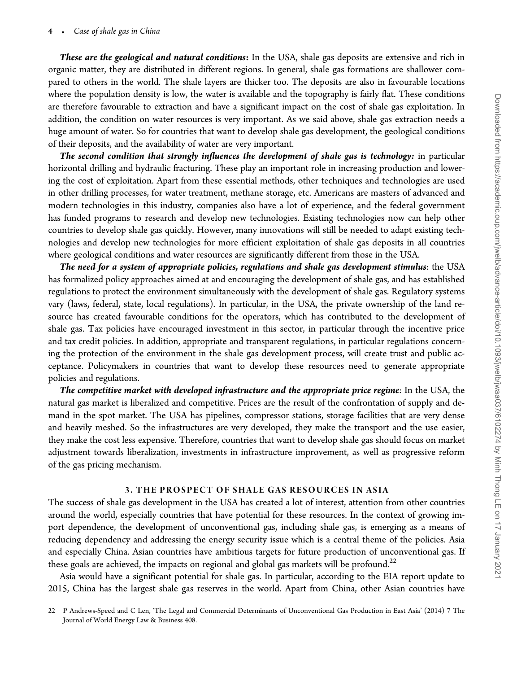These are the geological and natural conditions: In the USA, shale gas deposits are extensive and rich in organic matter, they are distributed in different regions. In general, shale gas formations are shallower compared to others in the world. The shale layers are thicker too. The deposits are also in favourable locations where the population density is low, the water is available and the topography is fairly flat. These conditions are therefore favourable to extraction and have a significant impact on the cost of shale gas exploitation. In addition, the condition on water resources is very important. As we said above, shale gas extraction needs a huge amount of water. So for countries that want to develop shale gas development, the geological conditions of their deposits, and the availability of water are very important.

The second condition that strongly influences the development of shale gas is technology: in particular horizontal drilling and hydraulic fracturing. These play an important role in increasing production and lowering the cost of exploitation. Apart from these essential methods, other techniques and technologies are used in other drilling processes, for water treatment, methane storage, etc. Americans are masters of advanced and modern technologies in this industry, companies also have a lot of experience, and the federal government has funded programs to research and develop new technologies. Existing technologies now can help other countries to develop shale gas quickly. However, many innovations will still be needed to adapt existing technologies and develop new technologies for more efficient exploitation of shale gas deposits in all countries where geological conditions and water resources are significantly different from those in the USA.

The need for a system of appropriate policies, regulations and shale gas development stimulus: the USA has formalized policy approaches aimed at and encouraging the development of shale gas, and has established regulations to protect the environment simultaneously with the development of shale gas. Regulatory systems vary (laws, federal, state, local regulations). In particular, in the USA, the private ownership of the land resource has created favourable conditions for the operators, which has contributed to the development of shale gas. Tax policies have encouraged investment in this sector, in particular through the incentive price and tax credit policies. In addition, appropriate and transparent regulations, in particular regulations concerning the protection of the environment in the shale gas development process, will create trust and public acceptance. Policymakers in countries that want to develop these resources need to generate appropriate policies and regulations.

The competitive market with developed infrastructure and the appropriate price regime: In the USA, the natural gas market is liberalized and competitive. Prices are the result of the confrontation of supply and demand in the spot market. The USA has pipelines, compressor stations, storage facilities that are very dense and heavily meshed. So the infrastructures are very developed, they make the transport and the use easier, they make the cost less expensive. Therefore, countries that want to develop shale gas should focus on market adjustment towards liberalization, investments in infrastructure improvement, as well as progressive reform of the gas pricing mechanism.

## 3. THE PROSPECT OF SHALE GAS RESOURCES IN ASIA

The success of shale gas development in the USA has created a lot of interest, attention from other countries around the world, especially countries that have potential for these resources. In the context of growing import dependence, the development of unconventional gas, including shale gas, is emerging as a means of reducing dependency and addressing the energy security issue which is a central theme of the policies. Asia and especially China. Asian countries have ambitious targets for future production of unconventional gas. If these goals are achieved, the impacts on regional and global gas markets will be profound.<sup>22</sup>

Asia would have a significant potential for shale gas. In particular, according to the EIA report update to 2015, China has the largest shale gas reserves in the world. Apart from China, other Asian countries have

<sup>22</sup> P Andrews-Speed and C Len, 'The Legal and Commercial Determinants of Unconventional Gas Production in East Asia' (2014) 7 The Journal of World Energy Law & Business 408.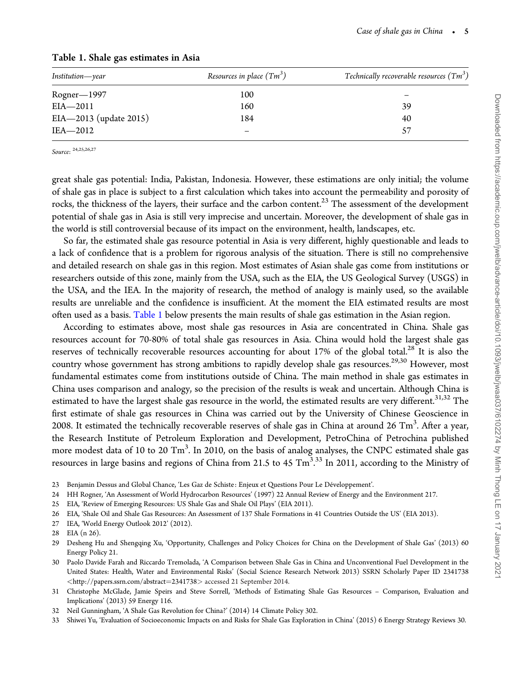| Institution—year       | Resources in place $(Tm^3)$ | Technically recoverable resources $(Tm^3)$ |  |  |
|------------------------|-----------------------------|--------------------------------------------|--|--|
| $Rogner - 1997$        | 100                         |                                            |  |  |
| $EIA - 2011$           | 160                         | 39                                         |  |  |
| EIA-2013 (update 2015) | 184                         | 40                                         |  |  |
| IEA-2012               |                             | 57                                         |  |  |
|                        |                             |                                            |  |  |

# Table 1. Shale gas estimates in Asia

Source: 24,25,26,27

great shale gas potential: India, Pakistan, Indonesia. However, these estimations are only initial; the volume of shale gas in place is subject to a first calculation which takes into account the permeability and porosity of rocks, the thickness of the layers, their surface and the carbon content.<sup>23</sup> The assessment of the development potential of shale gas in Asia is still very imprecise and uncertain. Moreover, the development of shale gas in the world is still controversial because of its impact on the environment, health, landscapes, etc.

So far, the estimated shale gas resource potential in Asia is very different, highly questionable and leads to a lack of confidence that is a problem for rigorous analysis of the situation. There is still no comprehensive and detailed research on shale gas in this region. Most estimates of Asian shale gas come from institutions or researchers outside of this zone, mainly from the USA, such as the EIA, the US Geological Survey (USGS) in the USA, and the IEA. In the majority of research, the method of analogy is mainly used, so the available results are unreliable and the confidence is insufficient. At the moment the EIA estimated results are most often used as a basis. Table 1 below presents the main results of shale gas estimation in the Asian region.

According to estimates above, most shale gas resources in Asia are concentrated in China. Shale gas resources account for 70-80% of total shale gas resources in Asia. China would hold the largest shale gas reserves of technically recoverable resources accounting for about 17% of the global total.<sup>28</sup> It is also the country whose government has strong ambitions to rapidly develop shale gas resources.<sup>29,30</sup> However, most fundamental estimates come from institutions outside of China. The main method in shale gas estimates in China uses comparison and analogy, so the precision of the results is weak and uncertain. Although China is estimated to have the largest shale gas resource in the world, the estimated results are very different.<sup>31,32</sup> The first estimate of shale gas resources in China was carried out by the University of Chinese Geoscience in 2008. It estimated the technically recoverable reserves of shale gas in China at around 26  $\rm{Tm^3.}$  After a year, the Research Institute of Petroleum Exploration and Development, PetroChina of Petrochina published more modest data of 10 to 20 Tm<sup>3</sup>. In 2010, on the basis of analog analyses, the CNPC estimated shale gas resources in large basins and regions of China from 21.5 to 45  $\rm{Tm}^{\tilde{3},33}$  In 2011, according to the Ministry of .

- 23 Benjamin Dessus and Global Chance, 'Les Gaz de Schiste: Enjeux et Questions Pour Le Développement'.
- 24 HH Rogner, 'An Assessment of World Hydrocarbon Resources' (1997) 22 Annual Review of Energy and the Environment 217.
- 25 EIA, 'Review of Emerging Resources: US Shale Gas and Shale Oil Plays' (EIA 2011).
- 26 EIA, 'Shale Oil and Shale Gas Resources: An Assessment of 137 Shale Formations in 41 Countries Outside the US' (EIA 2013).
- 27 IEA, 'World Energy Outlook 2012' (2012).

- 30 Paolo Davide Farah and Riccardo Tremolada, 'A Comparison between Shale Gas in China and Unconventional Fuel Development in the United States: Health, Water and Environmental Risks' (Social Science Research Network 2013) SSRN Scholarly Paper ID 2341738 <[http://papers.ssrn.com/abstract](http://papers.ssrn.com/abstract=2341738)¼[2341738](http://papers.ssrn.com/abstract=2341738)> accessed 21 September 2014.
- 31 Christophe McGlade, Jamie Speirs and Steve Sorrell, 'Methods of Estimating Shale Gas Resources Comparison, Evaluation and Implications' (2013) 59 Energy 116.
- 32 Neil Gunningham, 'A Shale Gas Revolution for China?' (2014) 14 Climate Policy 302.
- 33 Shiwei Yu, 'Evaluation of Socioeconomic Impacts on and Risks for Shale Gas Exploration in China' (2015) 6 Energy Strategy Reviews 30.

<sup>28</sup> EIA (n 26).

<sup>29</sup> Desheng Hu and Shengqing Xu, 'Opportunity, Challenges and Policy Choices for China on the Development of Shale Gas' (2013) 60 Energy Policy 21.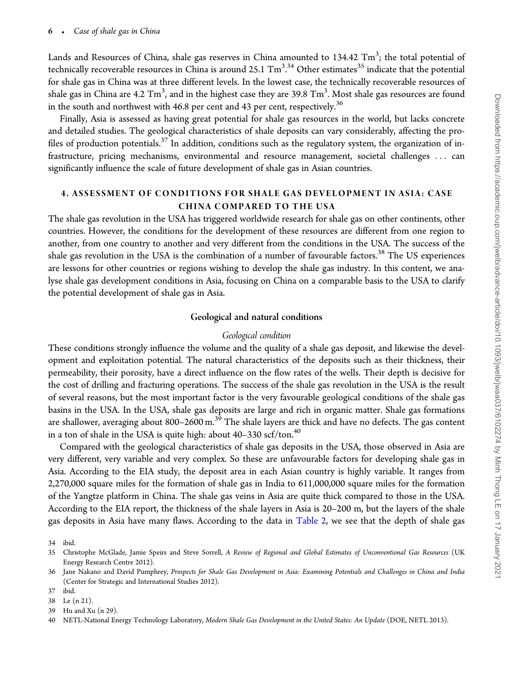Lands and Resources of China, shale gas reserves in China amounted to 134.42  $\rm{Tm}^3$ ; the total potential of technically recoverable resources in China is around 25.1  $\rm{Tm}^{3.34}$  Other estimates $^{35}$  indicate that the potential . for shale gas in China was at three different levels. In the lowest case, the technically recoverable resources of shale gas in China are 4.2  $\rm{Tm}^3$ , and in the highest case they are 39.8  $\rm{Tm}^3$ . Most shale gas resources are found in the south and northwest with 46.8 per cent and 43 per cent, respectively.<sup>36</sup>

Finally, Asia is assessed as having great potential for shale gas resources in the world, but lacks concrete and detailed studies. The geological characteristics of shale deposits can vary considerably, affecting the profiles of production potentials.<sup>37</sup> In addition, conditions such as the regulatory system, the organization of infrastructure, pricing mechanisms, environmental and resource management, societal challenges ... can significantly influence the scale of future development of shale gas in Asian countries.

# 4. ASSESSMENT OF CONDITIONS FOR SHALE GAS DEVELOPMENT IN ASIA: CASE CHINA COMPARED TO THE USA

The shale gas revolution in the USA has triggered worldwide research for shale gas on other continents, other countries. However, the conditions for the development of these resources are different from one region to another, from one country to another and very different from the conditions in the USA. The success of the shale gas revolution in the USA is the combination of a number of favourable factors.<sup>38</sup> The US experiences are lessons for other countries or regions wishing to develop the shale gas industry. In this content, we analyse shale gas development conditions in Asia, focusing on China on a comparable basis to the USA to clarify the potential development of shale gas in Asia.

## Geological and natural conditions

#### Geological condition

These conditions strongly influence the volume and the quality of a shale gas deposit, and likewise the development and exploitation potential. The natural characteristics of the deposits such as their thickness, their permeability, their porosity, have a direct influence on the flow rates of the wells. Their depth is decisive for the cost of drilling and fracturing operations. The success of the shale gas revolution in the USA is the result of several reasons, but the most important factor is the very favourable geological conditions of the shale gas basins in the USA. In the USA, shale gas deposits are large and rich in organic matter. Shale gas formations are shallower, averaging about 800–2600 m.<sup>39</sup> The shale layers are thick and have no defects. The gas content in a ton of shale in the USA is quite high: about  $40-330$  scf/ton.<sup>40</sup>

Compared with the geological characteristics of shale gas deposits in the USA, those observed in Asia are very different, very variable and very complex. So these are unfavourable factors for developing shale gas in Asia. According to the EIA study, the deposit area in each Asian country is highly variable. It ranges from 2,270,000 square miles for the formation of shale gas in India to 611,000,000 square miles for the formation of the Yangtze platform in China. The shale gas veins in Asia are quite thick compared to those in the USA. According to the EIA report, the thickness of the shale layers in Asia is 20–200 m, but the layers of the shale gas deposits in Asia have many flaws. According to the data in [Table 2](#page-6-0), we see that the depth of shale gas

37 ibid.

<sup>34</sup> ibid.

<sup>35</sup> Christophe McGlade, Jamie Speirs and Steve Sorrell, A Review of Regional and Global Estimates of Unconventional Gas Resources (UK Energy Research Centre 2012).

<sup>36</sup> Jane Nakano and David Pumphrey, Prospects for Shale Gas Development in Asia: Examining Potentials and Challenges in China and India (Center for Strategic and International Studies 2012).

<sup>38</sup> Le (n 21).

<sup>39</sup> Hu and Xu (n 29).

<sup>40</sup> NETL-National Energy Technology Laboratory, Modern Shale Gas Development in the United States: An Update (DOE, NETL 2013).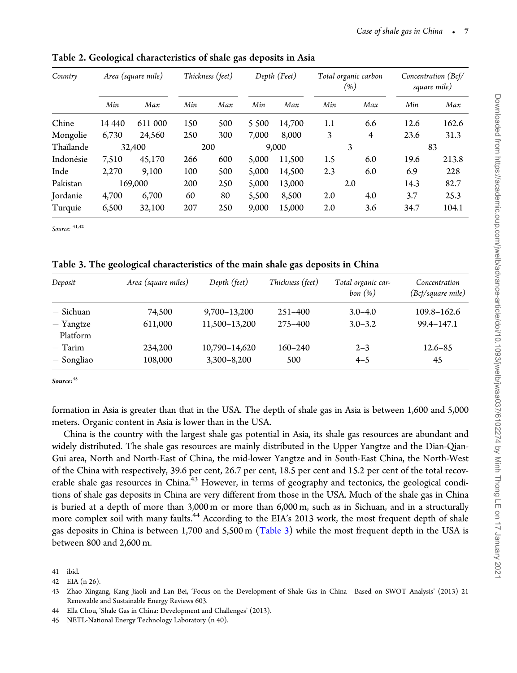| Country   | Area (square mile) |         | Thickness (feet) |     | Depth (Feet) |        | Total organic carbon<br>(%) |     | Concentration (Bcf/<br>square mile) |       |
|-----------|--------------------|---------|------------------|-----|--------------|--------|-----------------------------|-----|-------------------------------------|-------|
|           | Min                | Max     | Min              | Max | Min          | Max    | Min                         | Max | Min                                 | Max   |
| Chine     | 14 4 4 0           | 611 000 | 150              | 500 | 5 500        | 14,700 | 1.1                         | 6.6 | 12.6                                | 162.6 |
| Mongolie  | 6,730              | 24,560  | 250              | 300 | 7.000        | 8.000  | 3                           | 4   | 23.6                                | 31.3  |
| Thaïlande |                    | 32,400  |                  | 200 |              | 9,000  |                             | 3   |                                     | 83    |
| Indonésie | 7,510              | 45,170  | 266              | 600 | 5,000        | 11,500 | 1.5                         | 6.0 | 19.6                                | 213.8 |
| Inde      | 2.270              | 9.100   | 100              | 500 | 5,000        | 14,500 | 2.3                         | 6.0 | 6.9                                 | 228   |
| Pakistan  | 169,000            |         | 200              | 250 | 5,000        | 13,000 | 2.0                         |     | 14.3                                | 82.7  |
| Jordanie  | 4,700              | 6,700   | 60               | 80  | 5,500        | 8,500  | 2.0                         | 4.0 | 3.7                                 | 25.3  |
| Turquie   | 6,500              | 32,100  | 207              | 250 | 9,000        | 15,000 | 2.0                         | 3.6 | 34.7                                | 104.1 |

<span id="page-6-0"></span>Table 2. Geological characteristics of shale gas deposits in Asia

Source:  $41,42$ 

Table 3. The geological characteristics of the main shale gas deposits in China

| Deposit                 | Area (square miles) | Depth (feet)                     | Thickness (feet)   | Total organic car-<br>bon(%) | Concentration<br>(Bcf/square mile) |  |
|-------------------------|---------------------|----------------------------------|--------------------|------------------------------|------------------------------------|--|
| – Sichuan               | 74,500              | 9,700-13,200                     | $251 - 400$        | $3.0 - 4.0$                  | 109.8-162.6                        |  |
| - Yangtze<br>Platform   | 611,000             | 11,500-13,200                    | 275-400            | $3.0 - 3.2$                  | 99.4-147.1                         |  |
| $-$ Tarim<br>— Songliao | 234,200<br>108,000  | 10,790-14,620<br>$3,300 - 8,200$ | $160 - 240$<br>500 | $2 - 3$<br>$4 - 5$           | $12.6 - 85$<br>45                  |  |

Source:<sup>45</sup>

formation in Asia is greater than that in the USA. The depth of shale gas in Asia is between 1,600 and 5,000 meters. Organic content in Asia is lower than in the USA.

China is the country with the largest shale gas potential in Asia, its shale gas resources are abundant and widely distributed. The shale gas resources are mainly distributed in the Upper Yangtze and the Dian-Qian-Gui area, North and North-East of China, the mid-lower Yangtze and in South-East China, the North-West of the China with respectively, 39.6 per cent, 26.7 per cent, 18.5 per cent and 15.2 per cent of the total recoverable shale gas resources in China.<sup>43</sup> However, in terms of geography and tectonics, the geological conditions of shale gas deposits in China are very different from those in the USA. Much of the shale gas in China is buried at a depth of more than 3,000 m or more than 6,000 m, such as in Sichuan, and in a structurally more complex soil with many faults.<sup>44</sup> According to the EIA's 2013 work, the most frequent depth of shale gas deposits in China is between 1,700 and 5,500 m (Table 3) while the most frequent depth in the USA is between 800 and 2,600 m.

<sup>41</sup> ibid.

<sup>42</sup> EIA (n 26).

<sup>43</sup> Zhao Xingang, Kang Jiaoli and Lan Bei, 'Focus on the Development of Shale Gas in China—Based on SWOT Analysis' (2013) 21 Renewable and Sustainable Energy Reviews 603.

<sup>44</sup> Ella Chou, 'Shale Gas in China: Development and Challenges' (2013).

<sup>45</sup> NETL-National Energy Technology Laboratory (n 40).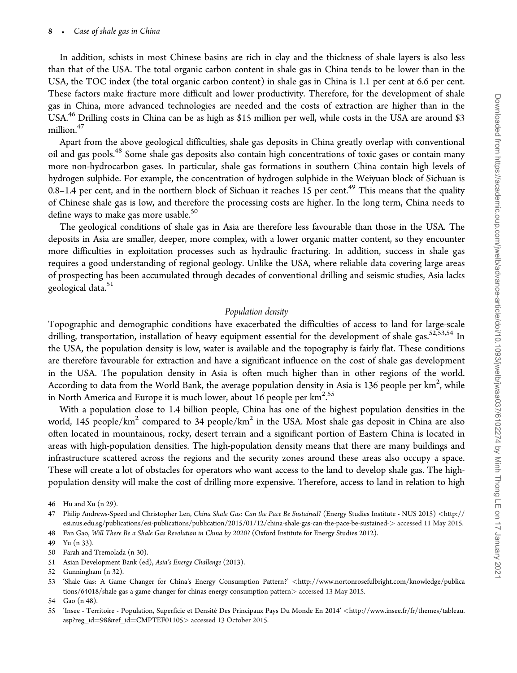#### 8 - Case of shale gas in China

In addition, schists in most Chinese basins are rich in clay and the thickness of shale layers is also less than that of the USA. The total organic carbon content in shale gas in China tends to be lower than in the USA, the TOC index (the total organic carbon content) in shale gas in China is 1.1 per cent at 6.6 per cent. These factors make fracture more difficult and lower productivity. Therefore, for the development of shale gas in China, more advanced technologies are needed and the costs of extraction are higher than in the USA.<sup>46</sup> Drilling costs in China can be as high as \$15 million per well, while costs in the USA are around \$3 million.<sup>47</sup>

Apart from the above geological difficulties, shale gas deposits in China greatly overlap with conventional oil and gas pools.48 Some shale gas deposits also contain high concentrations of toxic gases or contain many more non-hydrocarbon gases. In particular, shale gas formations in southern China contain high levels of hydrogen sulphide. For example, the concentration of hydrogen sulphide in the Weiyuan block of Sichuan is  $0.8-1.4$  per cent, and in the northern block of Sichuan it reaches 15 per cent.<sup>49</sup> This means that the quality of Chinese shale gas is low, and therefore the processing costs are higher. In the long term, China needs to define ways to make gas more usable.<sup>50</sup>

The geological conditions of shale gas in Asia are therefore less favourable than those in the USA. The deposits in Asia are smaller, deeper, more complex, with a lower organic matter content, so they encounter more difficulties in exploitation processes such as hydraulic fracturing. In addition, success in shale gas requires a good understanding of regional geology. Unlike the USA, where reliable data covering large areas of prospecting has been accumulated through decades of conventional drilling and seismic studies, Asia lacks geological data.<sup>51</sup>

#### Population density

Topographic and demographic conditions have exacerbated the difficulties of access to land for large-scale drilling, transportation, installation of heavy equipment essential for the development of shale gas.<sup>52,53,54</sup> In the USA, the population density is low, water is available and the topography is fairly flat. These conditions are therefore favourable for extraction and have a significant influence on the cost of shale gas development in the USA. The population density in Asia is often much higher than in other regions of the world. According to data from the World Bank, the average population density in Asia is 136 people per  $km^2$ , while in North America and Europe it is much lower, about 16 people per km $^{2.55}$ .

With a population close to 1.4 billion people, China has one of the highest population densities in the world, 145 people/km<sup>2</sup> compared to 34 people/km<sup>2</sup> in the USA. Most shale gas deposit in China are also often located in mountainous, rocky, desert terrain and a significant portion of Eastern China is located in areas with high-population densities. The high-population density means that there are many buildings and infrastructure scattered across the regions and the security zones around these areas also occupy a space. These will create a lot of obstacles for operators who want access to the land to develop shale gas. The highpopulation density will make the cost of drilling more expensive. Therefore, access to land in relation to high

51 Asian Development Bank (ed), Asia's Energy Challenge (2013).

53 'Shale Gas: A Game Changer for China's Energy Consumption Pattern?' <[http://www.nortonrosefulbright.com/knowledge/publica](http://www.nortonrosefulbright.com/knowledge/publications/64018/shale-gas-a-game-changer-for-chinas-energy-consumption-pattern) [tions/64018/shale-gas-a-game-changer-for-chinas-energy-consumption-pattern](http://www.nortonrosefulbright.com/knowledge/publications/64018/shale-gas-a-game-changer-for-chinas-energy-consumption-pattern)> accessed 13 May 2015.

<sup>46</sup> Hu and Xu (n 29).

<sup>47</sup> Philip Andrews-Speed and Christopher Len, China Shale Gas: Can the Pace Be Sustained? (Energy Studies Institute - NUS 2015) <[http://](http://esi.nus.edu.sg/publications/esi-publications/publication/2015/01/12/china-shale-gas-can-the-pace-be-sustained-) [esi.nus.edu.sg/publications/esi-publications/publication/2015/01/12/china-shale-gas-can-the-pace-be-sustained-](http://esi.nus.edu.sg/publications/esi-publications/publication/2015/01/12/china-shale-gas-can-the-pace-be-sustained-)> accessed 11 May 2015. 48 Fan Gao, Will There Be a Shale Gas Revolution in China by 2020? (Oxford Institute for Energy Studies 2012).

<sup>49</sup> Yu (n 33).

<sup>50</sup> Farah and Tremolada (n 30).

<sup>52</sup> Gunningham (n 32).

<sup>54</sup> Gao (n 48).

<sup>55 &#</sup>x27;Insee - Territoire - Population, Superficie et Densite´ Des Principaux Pays Du Monde En 2014' <[http://www.insee.fr/fr/themes/tableau.](http://www.insee.fr/fr/themes/tableau.asp?reg_id=98&hx0026;ref_id=CMPTEF01105) [asp?reg\\_id](http://www.insee.fr/fr/themes/tableau.asp?reg_id=98&hx0026;ref_id=CMPTEF01105)=[98](http://www.insee.fr/fr/themes/tableau.asp?reg_id=98&hx0026;ref_id=CMPTEF01105)&[ref\\_id](http://www.insee.fr/fr/themes/tableau.asp?reg_id=98&hx0026;ref_id=CMPTEF01105)=[CMPTEF01105](http://www.insee.fr/fr/themes/tableau.asp?reg_id=98&hx0026;ref_id=CMPTEF01105)> accessed 13 October 2015.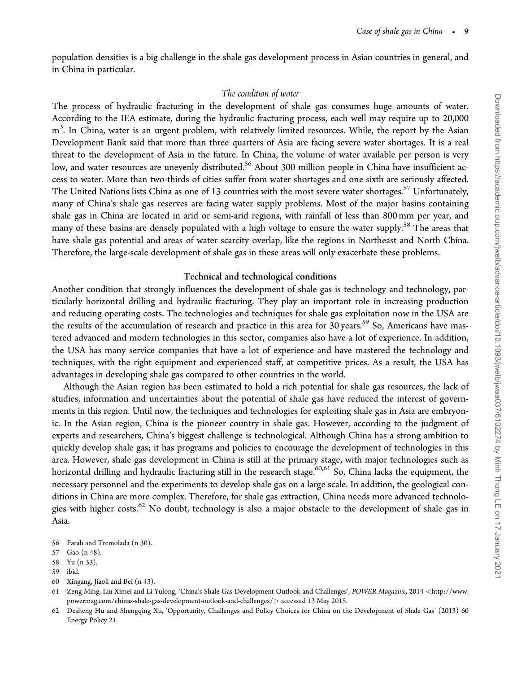population densities is a big challenge in the shale gas development process in Asian countries in general, and in China in particular.

#### The condition of water

The process of hydraulic fracturing in the development of shale gas consumes huge amounts of water. According to the IEA estimate, during the hydraulic fracturing process, each well may require up to 20,000  $\text{m}^3$ . In China, water is an urgent problem, with relatively limited resources. While, the report by the Asian Development Bank said that more than three quarters of Asia are facing severe water shortages. It is a real threat to the development of Asia in the future. In China, the volume of water available per person is very low, and water resources are unevenly distributed.<sup>56</sup> About 300 million people in China have insufficient access to water. More than two-thirds of cities suffer from water shortages and one-sixth are seriously affected. The United Nations lists China as one of 13 countries with the most severe water shortages.<sup>57</sup> Unfortunately, many of China's shale gas reserves are facing water supply problems. Most of the major basins containing shale gas in China are located in arid or semi-arid regions, with rainfall of less than 800 mm per year, and many of these basins are densely populated with a high voltage to ensure the water supply.<sup>58</sup> The areas that have shale gas potential and areas of water scarcity overlap, like the regions in Northeast and North China. Therefore, the large-scale development of shale gas in these areas will only exacerbate these problems.

#### Technical and technological conditions

Another condition that strongly influences the development of shale gas is technology and technology, particularly horizontal drilling and hydraulic fracturing. They play an important role in increasing production and reducing operating costs. The technologies and techniques for shale gas exploitation now in the USA are the results of the accumulation of research and practice in this area for 30 years.<sup>59</sup> So, Americans have mastered advanced and modern technologies in this sector, companies also have a lot of experience. In addition, the USA has many service companies that have a lot of experience and have mastered the technology and techniques, with the right equipment and experienced staff, at competitive prices. As a result, the USA has advantages in developing shale gas compared to other countries in the world.

Although the Asian region has been estimated to hold a rich potential for shale gas resources, the lack of studies, information and uncertainties about the potential of shale gas have reduced the interest of governments in this region. Until now, the techniques and technologies for exploiting shale gas in Asia are embryonic. In the Asian region, China is the pioneer country in shale gas. However, according to the judgment of experts and researchers, China's biggest challenge is technological. Although China has a strong ambition to quickly develop shale gas; it has programs and policies to encourage the development of technologies in this area. However, shale gas development in China is still at the primary stage, with major technologies such as horizontal drilling and hydraulic fracturing still in the research stage.<sup>60,61</sup> So, China lacks the equipment, the necessary personnel and the experiments to develop shale gas on a large scale. In addition, the geological conditions in China are more complex. Therefore, for shale gas extraction, China needs more advanced technologies with higher costs.<sup>62</sup> No doubt, technology is also a major obstacle to the development of shale gas in Asia.

- 56 Farah and Tremolada (n 30).
- 57 Gao (n 48).
- 58 Yu (n 33).
- 59 ibid.
- 60 Xingang, Jiaoli and Bei (n 43).

<sup>61</sup> Zeng Ming, Liu Ximei and Li Yulong, 'China's Shale Gas Development Outlook and Challenges', POWER Magazine, 2014 <[http://www.](http://www.powermag.com/chinas-shale-gas-development-outlook-and-challenges/) [powermag.com/chinas-shale-gas-development-outlook-and-challenges/](http://www.powermag.com/chinas-shale-gas-development-outlook-and-challenges/)> accessed 13 May 2015.

<sup>62</sup> Desheng Hu and Shengqing Xu, 'Opportunity, Challenges and Policy Choices for China on the Development of Shale Gas' (2013) 60 Energy Policy 21.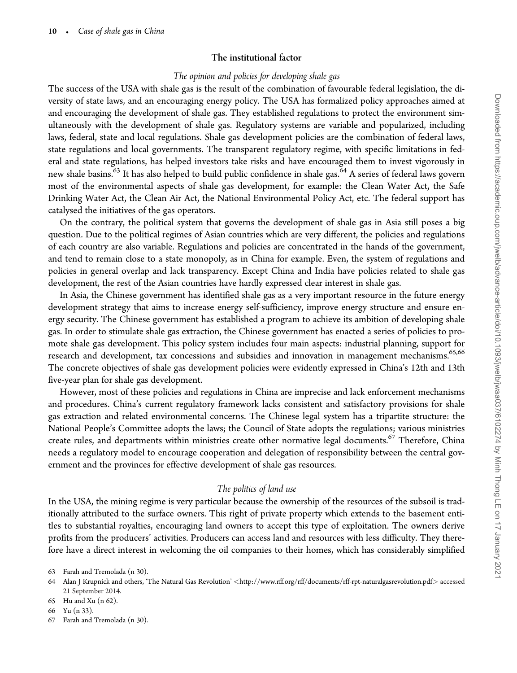# The institutional factor

# The opinion and policies for developing shale gas

The success of the USA with shale gas is the result of the combination of favourable federal legislation, the diversity of state laws, and an encouraging energy policy. The USA has formalized policy approaches aimed at and encouraging the development of shale gas. They established regulations to protect the environment simultaneously with the development of shale gas. Regulatory systems are variable and popularized, including laws, federal, state and local regulations. Shale gas development policies are the combination of federal laws, state regulations and local governments. The transparent regulatory regime, with specific limitations in federal and state regulations, has helped investors take risks and have encouraged them to invest vigorously in new shale basins.<sup>63</sup> It has also helped to build public confidence in shale gas.<sup>64</sup> A series of federal laws govern most of the environmental aspects of shale gas development, for example: the Clean Water Act, the Safe Drinking Water Act, the Clean Air Act, the National Environmental Policy Act, etc. The federal support has catalysed the initiatives of the gas operators.

On the contrary, the political system that governs the development of shale gas in Asia still poses a big question. Due to the political regimes of Asian countries which are very different, the policies and regulations of each country are also variable. Regulations and policies are concentrated in the hands of the government, and tend to remain close to a state monopoly, as in China for example. Even, the system of regulations and policies in general overlap and lack transparency. Except China and India have policies related to shale gas development, the rest of the Asian countries have hardly expressed clear interest in shale gas.

In Asia, the Chinese government has identified shale gas as a very important resource in the future energy development strategy that aims to increase energy self-sufficiency, improve energy structure and ensure energy security. The Chinese government has established a program to achieve its ambition of developing shale gas. In order to stimulate shale gas extraction, the Chinese government has enacted a series of policies to promote shale gas development. This policy system includes four main aspects: industrial planning, support for research and development, tax concessions and subsidies and innovation in management mechanisms.<sup>65,66</sup> The concrete objectives of shale gas development policies were evidently expressed in China's 12th and 13th five-year plan for shale gas development.

However, most of these policies and regulations in China are imprecise and lack enforcement mechanisms and procedures. China's current regulatory framework lacks consistent and satisfactory provisions for shale gas extraction and related environmental concerns. The Chinese legal system has a tripartite structure: the National People's Committee adopts the laws; the Council of State adopts the regulations; various ministries create rules, and departments within ministries create other normative legal documents.<sup>67</sup> Therefore, China needs a regulatory model to encourage cooperation and delegation of responsibility between the central government and the provinces for effective development of shale gas resources.

# The politics of land use

In the USA, the mining regime is very particular because the ownership of the resources of the subsoil is traditionally attributed to the surface owners. This right of private property which extends to the basement entitles to substantial royalties, encouraging land owners to accept this type of exploitation. The owners derive profits from the producers' activities. Producers can access land and resources with less difficulty. They therefore have a direct interest in welcoming the oil companies to their homes, which has considerably simplified

67 Farah and Tremolada (n 30).

<sup>63</sup> Farah and Tremolada (n 30).

<sup>64</sup> Alan J Krupnick and others, 'The Natural Gas Revolution' <<http://www.rff.org/rff/documents/rff-rpt-naturalgasrevolution.pdf>> accessed 21 September 2014.

<sup>65</sup> Hu and Xu (n 62).

<sup>66</sup> Yu (n 33).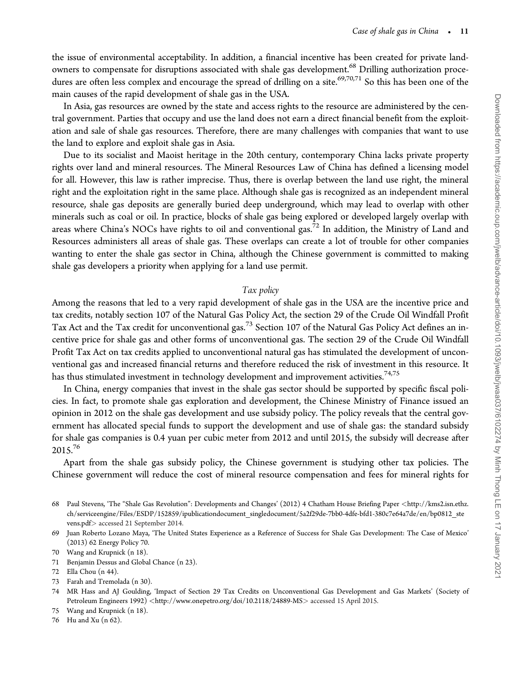the issue of environmental acceptability. In addition, a financial incentive has been created for private landowners to compensate for disruptions associated with shale gas development.<sup>68</sup> Drilling authorization procedures are often less complex and encourage the spread of drilling on a site.<sup>69,70,71</sup> So this has been one of the main causes of the rapid development of shale gas in the USA.

In Asia, gas resources are owned by the state and access rights to the resource are administered by the central government. Parties that occupy and use the land does not earn a direct financial benefit from the exploitation and sale of shale gas resources. Therefore, there are many challenges with companies that want to use the land to explore and exploit shale gas in Asia.

Due to its socialist and Maoist heritage in the 20th century, contemporary China lacks private property rights over land and mineral resources. The Mineral Resources Law of China has defined a licensing model for all. However, this law is rather imprecise. Thus, there is overlap between the land use right, the mineral right and the exploitation right in the same place. Although shale gas is recognized as an independent mineral resource, shale gas deposits are generally buried deep underground, which may lead to overlap with other minerals such as coal or oil. In practice, blocks of shale gas being explored or developed largely overlap with areas where China's NOCs have rights to oil and conventional gas.<sup>72</sup> In addition, the Ministry of Land and Resources administers all areas of shale gas. These overlaps can create a lot of trouble for other companies wanting to enter the shale gas sector in China, although the Chinese government is committed to making shale gas developers a priority when applying for a land use permit.

# Tax policy

Among the reasons that led to a very rapid development of shale gas in the USA are the incentive price and tax credits, notably section 107 of the Natural Gas Policy Act, the section 29 of the Crude Oil Windfall Profit Tax Act and the Tax credit for unconventional gas.<sup>73</sup> Section 107 of the Natural Gas Policy Act defines an incentive price for shale gas and other forms of unconventional gas. The section 29 of the Crude Oil Windfall Profit Tax Act on tax credits applied to unconventional natural gas has stimulated the development of unconventional gas and increased financial returns and therefore reduced the risk of investment in this resource. It has thus stimulated investment in technology development and improvement activities.<sup>74,75</sup>

In China, energy companies that invest in the shale gas sector should be supported by specific fiscal policies. In fact, to promote shale gas exploration and development, the Chinese Ministry of Finance issued an opinion in 2012 on the shale gas development and use subsidy policy. The policy reveals that the central government has allocated special funds to support the development and use of shale gas: the standard subsidy for shale gas companies is 0.4 yuan per cubic meter from 2012 and until 2015, the subsidy will decrease after 2015.76

Apart from the shale gas subsidy policy, the Chinese government is studying other tax policies. The Chinese government will reduce the cost of mineral resource compensation and fees for mineral rights for

69 Juan Roberto Lozano Maya, 'The United States Experience as a Reference of Success for Shale Gas Development: The Case of Mexico' (2013) 62 Energy Policy 70.

71 Benjamin Dessus and Global Chance (n 23).

- 73 Farah and Tremolada (n 30).
- 74 MR Hass and AJ Goulding, 'Impact of Section 29 Tax Credits on Unconventional Gas Development and Gas Markets' (Society of Petroleum Engineers 1992) <<http://www.onepetro.org/doi/10.2118/24889-MS>> accessed 15 April 2015.
- 75 Wang and Krupnick (n 18).
- 76 Hu and Xu (n 62).

<sup>68</sup> Paul Stevens, 'The "Shale Gas Revolution": Developments and Changes' (2012) 4 Chatham House Briefing Paper <[http://kms2.isn.ethz.](http://kms2.isn.ethz.ch/serviceengine/Files/ESDP/152859/ipublicationdocument_singledocument/5a2f29de-7bb0-4dfe-bfd1-380c7e64a7de/en/bp0812_stevens.pdf) [ch/serviceengine/Files/ESDP/152859/ipublicationdocument\\_singledocument/5a2f29de-7bb0-4dfe-bfd1-380c7e64a7de/en/bp0812\\_ste](http://kms2.isn.ethz.ch/serviceengine/Files/ESDP/152859/ipublicationdocument_singledocument/5a2f29de-7bb0-4dfe-bfd1-380c7e64a7de/en/bp0812_stevens.pdf) [vens.pdf](http://kms2.isn.ethz.ch/serviceengine/Files/ESDP/152859/ipublicationdocument_singledocument/5a2f29de-7bb0-4dfe-bfd1-380c7e64a7de/en/bp0812_stevens.pdf)> accessed 21 September 2014.

<sup>70</sup> Wang and Krupnick (n 18).

<sup>72</sup> Ella Chou (n 44).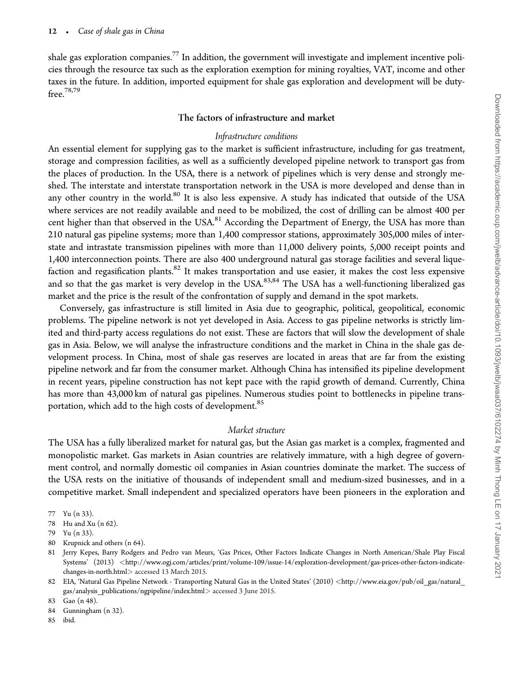shale gas exploration companies.77 In addition, the government will investigate and implement incentive policies through the resource tax such as the exploration exemption for mining royalties, VAT, income and other taxes in the future. In addition, imported equipment for shale gas exploration and development will be dutyfree.78,79

## The factors of infrastructure and market

#### Infrastructure conditions

An essential element for supplying gas to the market is sufficient infrastructure, including for gas treatment, storage and compression facilities, as well as a sufficiently developed pipeline network to transport gas from the places of production. In the USA, there is a network of pipelines which is very dense and strongly meshed. The interstate and interstate transportation network in the USA is more developed and dense than in any other country in the world.<sup>80</sup> It is also less expensive. A study has indicated that outside of the USA where services are not readily available and need to be mobilized, the cost of drilling can be almost 400 per cent higher than that observed in the USA.<sup>81</sup> According the Department of Energy, the USA has more than 210 natural gas pipeline systems; more than 1,400 compressor stations, approximately 305,000 miles of interstate and intrastate transmission pipelines with more than 11,000 delivery points, 5,000 receipt points and 1,400 interconnection points. There are also 400 underground natural gas storage facilities and several liquefaction and regasification plants. $82$  It makes transportation and use easier, it makes the cost less expensive and so that the gas market is very develop in the USA.<sup>83,84</sup> The USA has a well-functioning liberalized gas market and the price is the result of the confrontation of supply and demand in the spot markets.

Conversely, gas infrastructure is still limited in Asia due to geographic, political, geopolitical, economic problems. The pipeline network is not yet developed in Asia. Access to gas pipeline networks is strictly limited and third-party access regulations do not exist. These are factors that will slow the development of shale gas in Asia. Below, we will analyse the infrastructure conditions and the market in China in the shale gas development process. In China, most of shale gas reserves are located in areas that are far from the existing pipeline network and far from the consumer market. Although China has intensified its pipeline development in recent years, pipeline construction has not kept pace with the rapid growth of demand. Currently, China has more than 43,000 km of natural gas pipelines. Numerous studies point to bottlenecks in pipeline transportation, which add to the high costs of development.<sup>85</sup>

#### Market structure

The USA has a fully liberalized market for natural gas, but the Asian gas market is a complex, fragmented and monopolistic market. Gas markets in Asian countries are relatively immature, with a high degree of government control, and normally domestic oil companies in Asian countries dominate the market. The success of the USA rests on the initiative of thousands of independent small and medium-sized businesses, and in a competitive market. Small independent and specialized operators have been pioneers in the exploration and

80 Krupnick and others (n 64).

85 ibid.

<sup>77</sup> Yu (n 33).

<sup>78</sup> Hu and Xu (n 62).

<sup>79</sup> Yu (n 33).

<sup>81</sup> Jerry Kepes, Barry Rodgers and Pedro van Meurs, 'Gas Prices, Other Factors Indicate Changes in North American/Shale Play Fiscal Systems' (2013) <[http://www.ogj.com/articles/print/volume-109/issue-14/exploration-development/gas-prices-other-factors-indicate](http://www.ogj.com/articles/print/volume-109/issue-14/exploration-development/gas-prices-other-factors-indicate-changes-in-north.html)[changes-in-north.html](http://www.ogj.com/articles/print/volume-109/issue-14/exploration-development/gas-prices-other-factors-indicate-changes-in-north.html)> accessed 13 March 2015.

<sup>82</sup> EIA, 'Natural Gas Pipeline Network - Transporting Natural Gas in the United States' (2010) <[http://www.eia.gov/pub/oil\\_gas/natural\\_](http://www.eia.gov/pub/oil_gas/natural_gas/analysis_publications/ngpipeline/index.html) [gas/analysis\\_publications/ngpipeline/index.html](http://www.eia.gov/pub/oil_gas/natural_gas/analysis_publications/ngpipeline/index.html)> accessed 3 June 2015.

<sup>83</sup> Gao (n 48).

<sup>84</sup> Gunningham (n 32).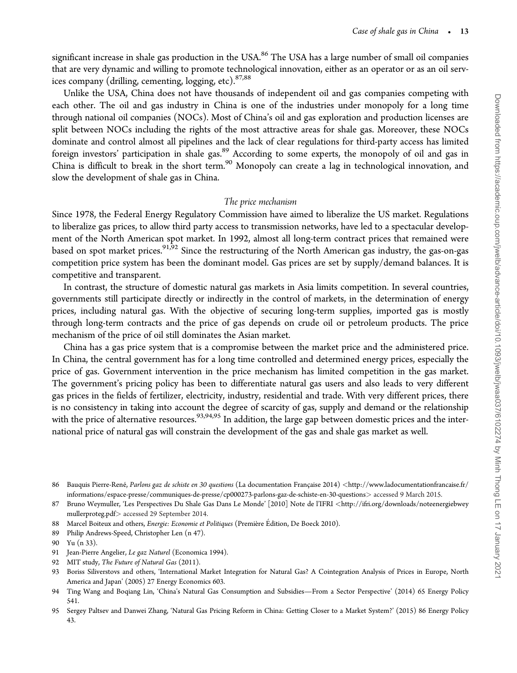significant increase in shale gas production in the USA.<sup>86</sup> The USA has a large number of small oil companies that are very dynamic and willing to promote technological innovation, either as an operator or as an oil services company (drilling, cementing, logging, etc).<sup>87,88</sup>

Unlike the USA, China does not have thousands of independent oil and gas companies competing with each other. The oil and gas industry in China is one of the industries under monopoly for a long time through national oil companies (NOCs). Most of China's oil and gas exploration and production licenses are split between NOCs including the rights of the most attractive areas for shale gas. Moreover, these NOCs dominate and control almost all pipelines and the lack of clear regulations for third-party access has limited foreign investors' participation in shale gas.<sup>89</sup> According to some experts, the monopoly of oil and gas in China is difficult to break in the short term.<sup>90</sup> Monopoly can create a lag in technological innovation, and slow the development of shale gas in China.

## The price mechanism

Since 1978, the Federal Energy Regulatory Commission have aimed to liberalize the US market. Regulations to liberalize gas prices, to allow third party access to transmission networks, have led to a spectacular development of the North American spot market. In 1992, almost all long-term contract prices that remained were based on spot market prices.<sup>91,92</sup> Since the restructuring of the North American gas industry, the gas-on-gas competition price system has been the dominant model. Gas prices are set by supply/demand balances. It is competitive and transparent.

In contrast, the structure of domestic natural gas markets in Asia limits competition. In several countries, governments still participate directly or indirectly in the control of markets, in the determination of energy prices, including natural gas. With the objective of securing long-term supplies, imported gas is mostly through long-term contracts and the price of gas depends on crude oil or petroleum products. The price mechanism of the price of oil still dominates the Asian market.

China has a gas price system that is a compromise between the market price and the administered price. In China, the central government has for a long time controlled and determined energy prices, especially the price of gas. Government intervention in the price mechanism has limited competition in the gas market. The government's pricing policy has been to differentiate natural gas users and also leads to very different gas prices in the fields of fertilizer, electricity, industry, residential and trade. With very different prices, there is no consistency in taking into account the degree of scarcity of gas, supply and demand or the relationship with the price of alternative resources.<sup>93,94,95</sup> In addition, the large gap between domestic prices and the international price of natural gas will constrain the development of the gas and shale gas market as well.

- 88 Marcel Boiteux and others, Energie: Economie et Politiques (Première Édition, De Boeck 2010).
- 89 Philip Andrews-Speed, Christopher Len (n 47).

- 91 Jean-Pierre Angelier, Le gaz Naturel (Economica 1994).
- 92 MIT study, The Future of Natural Gas (2011).
- 93 Boriss Siliverstovs and others, 'International Market Integration for Natural Gas? A Cointegration Analysis of Prices in Europe, North America and Japan' (2005) 27 Energy Economics 603.
- 94 Ting Wang and Boqiang Lin, 'China's Natural Gas Consumption and Subsidies—From a Sector Perspective' (2014) 65 Energy Policy 541.
- 95 Sergey Paltsev and Danwei Zhang, 'Natural Gas Pricing Reform in China: Getting Closer to a Market System?' (2015) 86 Energy Policy 43.

<sup>86</sup> Bauquis Pierre-René, Parlons gaz de schiste en 30 questions (La documentation Française 2014) <[http://www.ladocumentationfrancaise.fr/](http://www.ladocumentationfrancaise.fr/informations/espace-presse/communiques-de-presse/cp000273-parlons-gaz-de-schiste-en-30-questions) [informations/espace-presse/communiques-de-presse/cp000273-parlons-gaz-de-schiste-en-30-questions](http://www.ladocumentationfrancaise.fr/informations/espace-presse/communiques-de-presse/cp000273-parlons-gaz-de-schiste-en-30-questions)> accessed 9 March 2015.

<sup>87</sup> Bruno Weymuller, 'Les Perspectives Du Shale Gas Dans Le Monde' [2010] Note de l'IFRI <[http://ifri.org/downloads/noteenergiebwey](http://ifri.org/downloads/noteenergiebweymullerproteg.pdf) [mullerproteg.pdf](http://ifri.org/downloads/noteenergiebweymullerproteg.pdf)> accessed 29 September 2014.

<sup>90</sup> Yu (n 33).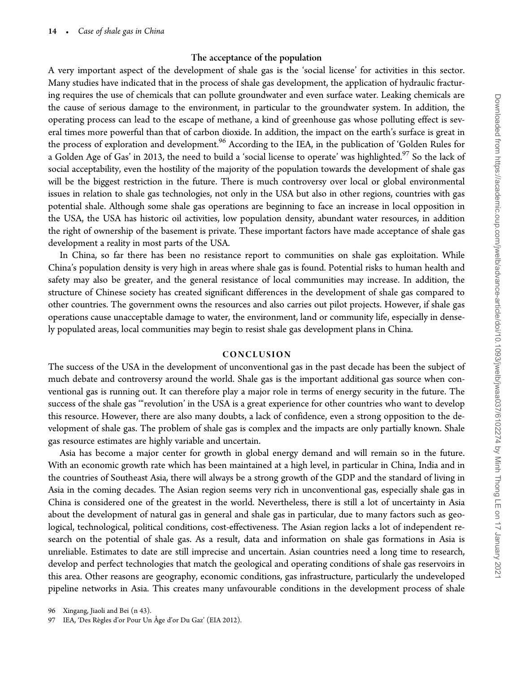# The acceptance of the population

A very important aspect of the development of shale gas is the 'social license' for activities in this sector. Many studies have indicated that in the process of shale gas development, the application of hydraulic fracturing requires the use of chemicals that can pollute groundwater and even surface water. Leaking chemicals are the cause of serious damage to the environment, in particular to the groundwater system. In addition, the operating process can lead to the escape of methane, a kind of greenhouse gas whose polluting effect is several times more powerful than that of carbon dioxide. In addition, the impact on the earth's surface is great in the process of exploration and development.<sup>96</sup> According to the IEA, in the publication of 'Golden Rules for a Golden Age of Gas' in 2013, the need to build a 'social license to operate' was highlighted.<sup>97</sup> So the lack of social acceptability, even the hostility of the majority of the population towards the development of shale gas will be the biggest restriction in the future. There is much controversy over local or global environmental issues in relation to shale gas technologies, not only in the USA but also in other regions, countries with gas potential shale. Although some shale gas operations are beginning to face an increase in local opposition in the USA, the USA has historic oil activities, low population density, abundant water resources, in addition the right of ownership of the basement is private. These important factors have made acceptance of shale gas development a reality in most parts of the USA.

In China, so far there has been no resistance report to communities on shale gas exploitation. While China's population density is very high in areas where shale gas is found. Potential risks to human health and safety may also be greater, and the general resistance of local communities may increase. In addition, the structure of Chinese society has created significant differences in the development of shale gas compared to other countries. The government owns the resources and also carries out pilot projects. However, if shale gas operations cause unacceptable damage to water, the environment, land or community life, especially in densely populated areas, local communities may begin to resist shale gas development plans in China.

# CONCLUSION

The success of the USA in the development of unconventional gas in the past decade has been the subject of much debate and controversy around the world. Shale gas is the important additional gas source when conventional gas is running out. It can therefore play a major role in terms of energy security in the future. The success of the shale gas '"revolution' in the USA is a great experience for other countries who want to develop this resource. However, there are also many doubts, a lack of confidence, even a strong opposition to the development of shale gas. The problem of shale gas is complex and the impacts are only partially known. Shale gas resource estimates are highly variable and uncertain.

Asia has become a major center for growth in global energy demand and will remain so in the future. With an economic growth rate which has been maintained at a high level, in particular in China, India and in the countries of Southeast Asia, there will always be a strong growth of the GDP and the standard of living in Asia in the coming decades. The Asian region seems very rich in unconventional gas, especially shale gas in China is considered one of the greatest in the world. Nevertheless, there is still a lot of uncertainty in Asia about the development of natural gas in general and shale gas in particular, due to many factors such as geological, technological, political conditions, cost-effectiveness. The Asian region lacks a lot of independent research on the potential of shale gas. As a result, data and information on shale gas formations in Asia is unreliable. Estimates to date are still imprecise and uncertain. Asian countries need a long time to research, develop and perfect technologies that match the geological and operating conditions of shale gas reservoirs in this area. Other reasons are geography, economic conditions, gas infrastructure, particularly the undeveloped pipeline networks in Asia. This creates many unfavourable conditions in the development process of shale

96 Xingang, Jiaoli and Bei (n 43).

<sup>97</sup> IEA, 'Des Règles d'or Pour Un Âge d'or Du Gaz' (EIA 2012).